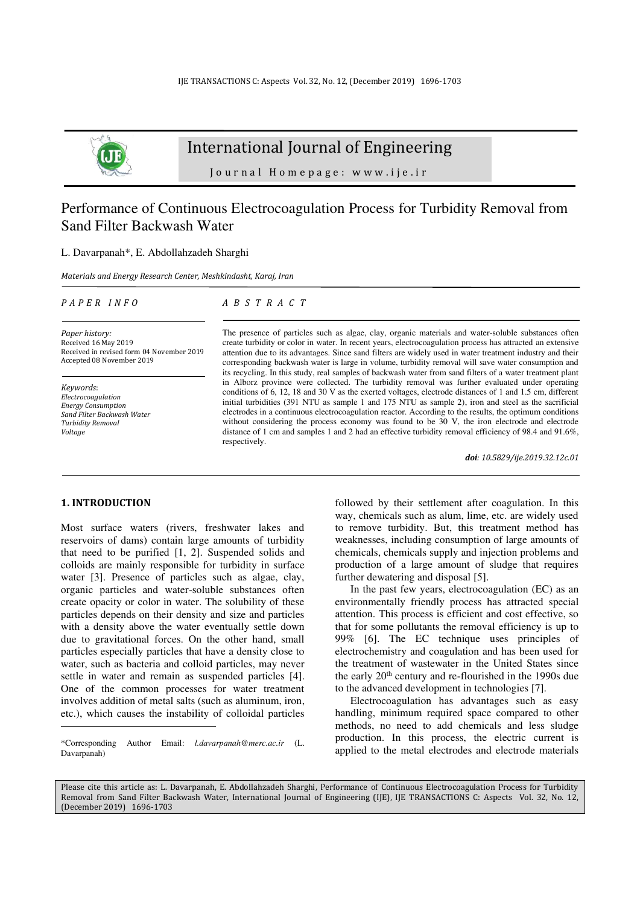

# International Journal of Engineering

Journal Homepage: www.ije.ir

# Performance of Continuous Electrocoagulation Process for Turbidity Removal from Sand Filter Backwash Water

L. Davarpanah\*, E. Abdollahzadeh Sharghi

*Materials and Energy Research Center, Meshkindasht, Karaj, Iran* 

### *P A P E R I N F O*

*A B S T R A C T*

*Paper history:*  Received 16 May 2019 Received in revised form 04 November 2019 Accepted 08 November 2019

*Keywords*: *Electrocoagulation Energy Consumption Sand Filter Backwash Water Turbidity Removal Voltage* 

The presence of particles such as algae, clay, organic materials and water-soluble substances often create turbidity or color in water. In recent years, electrocoagulation process has attracted an extensive attention due to its advantages. Since sand filters are widely used in water treatment industry and their corresponding backwash water is large in volume, turbidity removal will save water consumption and its recycling. In this study, real samples of backwash water from sand filters of a water treatment plant in Alborz province were collected. The turbidity removal was further evaluated under operating conditions of 6, 12, 18 and 30 V as the exerted voltages, electrode distances of 1 and 1.5 cm, different initial turbidities (391 NTU as sample 1 and 175 NTU as sample 2), iron and steel as the sacrificial electrodes in a continuous electrocoagulation reactor. According to the results, the optimum conditions without considering the process economy was found to be 30 V, the iron electrode and electrode distance of 1 cm and samples 1 and 2 had an effective turbidity removal efficiency of 98.4 and 91.6%, respectively.

*doi: 10.5829/ije.2019.32.12c.01*

### **1. INTRODUCTION<sup>1</sup>**

Most surface waters (rivers, freshwater lakes and reservoirs of dams) contain large amounts of turbidity that need to be purified [1, 2]. Suspended solids and colloids are mainly responsible for turbidity in surface water [3]. Presence of particles such as algae, clay, organic particles and water-soluble substances often create opacity or color in water. The solubility of these particles depends on their density and size and particles with a density above the water eventually settle down due to gravitational forces. On the other hand, small particles especially particles that have a density close to water, such as bacteria and colloid particles, may never settle in water and remain as suspended particles [4]. One of the common processes for water treatment involves addition of metal salts (such as aluminum, iron, etc.), which causes the instability of colloidal particles

followed by their settlement after coagulation. In this way, chemicals such as alum, lime, etc. are widely used to remove turbidity. But, this treatment method has weaknesses, including consumption of large amounts of chemicals, chemicals supply and injection problems and production of a large amount of sludge that requires further dewatering and disposal [5].

In the past few years, electrocoagulation (EC) as an environmentally friendly process has attracted special attention. This process is efficient and cost effective, so that for some pollutants the removal efficiency is up to 99% [6]. The EC technique uses principles of electrochemistry and coagulation and has been used for the treatment of wastewater in the United States since the early 20<sup>th</sup> century and re-flourished in the 1990s due to the advanced development in technologies [7].

Electrocoagulation has advantages such as easy handling, minimum required space compared to other methods, no need to add chemicals and less sludge production. In this process, the electric current is applied to the metal electrodes and electrode materials

Please cite this article as: L. Davarpanah, E. Abdollahzadeh Sharghi, Performance of Continuous Electrocoagulation Process for Turbidity Removal from Sand Filter Backwash Water, International Journal of Engineering (IJE), IJE TRANSACTIONS C: Aspects Vol. 32, No. 12, (December 2019) 1696-1703

<sup>\*</sup>Corresponding Author Email: *[l.davarpanah@merc.ac.ir](mailto:l.davarpanah@merc.ac.ir)* (L. Davarpanah)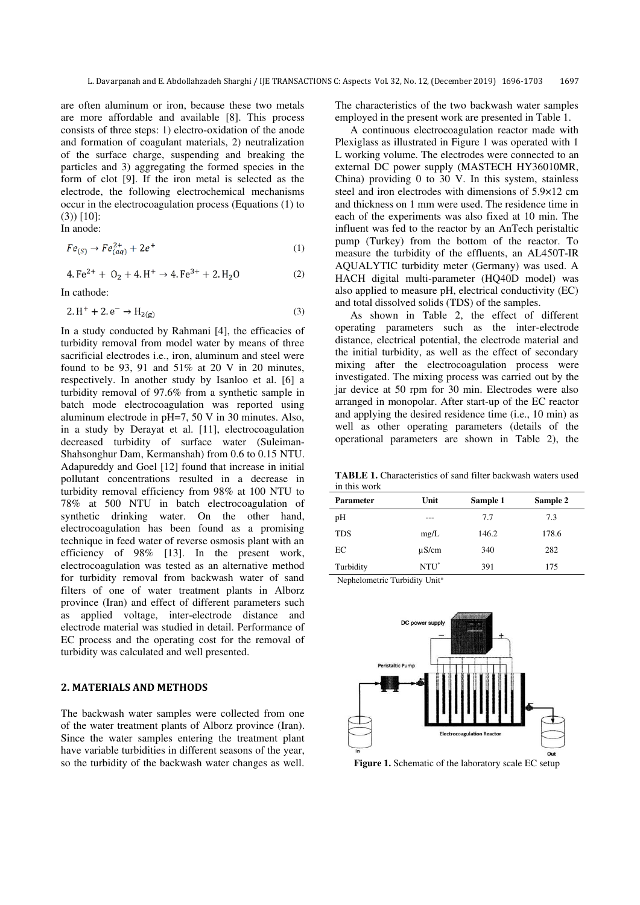are often aluminum or iron, because these two metals are more affordable and available [8]. This process consists of three steps: 1) electro-oxidation of the anode and formation of coagulant materials, 2) neutralization of the surface charge, suspending and breaking the particles and 3) aggregating the formed species in the form of clot [9]. If the iron metal is selected as the electrode, the following electrochemical mechanisms occur in the electrocoagulation process (Equations (1) to (3)) [10]:

In anode:

$$
Fe_{(S)} \to Fe_{(aq)}^{2+} + 2e^+ \tag{1}
$$

$$
4. \, \text{Fe}^{2+} + 0_2 + 4. \, \text{H}^+ \rightarrow 4. \, \text{Fe}^{3+} + 2. \, \text{H}_2\text{O} \tag{2}
$$

In cathode:  $\sim$   $\sim$ 

$$
2. H^{+} + 2. e^{-} \rightarrow H_{2(g)}
$$
 (3)

In a study conducted by Rahmani [4], the efficacies of turbidity removal from model water by means of three sacrificial electrodes i.e., iron, aluminum and steel were found to be 93, 91 and  $51\%$  at 20 V in 20 minutes, respectively. In another study by Isanloo et al. [6] a turbidity removal of 97.6% from a synthetic sample in batch mode electrocoagulation was reported using aluminum electrode in pH=7, 50 V in 30 minutes. Also, in a study by Derayat et al. [11], electrocoagulation decreased turbidity of surface water (Suleiman-Shahsonghur Dam, Kermanshah) from 0.6 to 0.15 NTU. Adapureddy and Goel [12] found that increase in initial pollutant concentrations resulted in a decrease in turbidity removal efficiency from 98% at 100 NTU to 78% at 500 NTU in batch electrocoagulation of synthetic drinking water. On the other hand, electrocoagulation has been found as a promising technique in feed water of reverse osmosis plant with an efficiency of 98% [13]. In the present work, electrocoagulation was tested as an alternative method for turbidity removal from backwash water of sand filters of one of water treatment plants in Alborz province (Iran) and effect of different parameters such as applied voltage, inter-electrode distance and electrode material was studied in detail. Performance of EC process and the operating cost for the removal of turbidity was calculated and well presented.

## **2. MATERIALS AND METHODS**

The backwash water samples were collected from one of the water treatment plants of Alborz province (Iran). Since the water samples entering the treatment plant have variable turbidities in different seasons of the year, so the turbidity of the backwash water changes as well.

The characteristics of the two backwash water samples employed in the present work are presented in Table 1.

A continuous electrocoagulation reactor made with Plexiglass as illustrated in Figure 1 was operated with 1 L working volume. The electrodes were connected to an external DC power supply (MASTECH HY36010MR, China) providing 0 to 30 V. In this system, stainless steel and iron electrodes with dimensions of 5.9×12 cm and thickness on 1 mm were used. The residence time in each of the experiments was also fixed at 10 min. The influent was fed to the reactor by an AnTech peristaltic pump (Turkey) from the bottom of the reactor. To measure the turbidity of the effluents, an AL450T-IR AQUALYTIC turbidity meter (Germany) was used. A HACH digital multi-parameter (HQ40D model) was also applied to measure pH, electrical conductivity (EC) and total dissolved solids (TDS) of the samples.

As shown in Table 2, the effect of different operating parameters such as the inter-electrode distance, electrical potential, the electrode material and the initial turbidity, as well as the effect of secondary mixing after the electrocoagulation process were investigated. The mixing process was carried out by the jar device at 50 rpm for 30 min. Electrodes were also arranged in monopolar. After start-up of the EC reactor and applying the desired residence time (i.e., 10 min) as well as other operating parameters (details of the operational parameters are shown in Table 2), the

**TABLE 1.** Characteristics of sand filter backwash waters used in this work

| <b>Parameter</b> | Unit             | Sample 1 | Sample 2 |
|------------------|------------------|----------|----------|
| pH               | ---              | 7.7      | 7.3      |
| <b>TDS</b>       | mg/L             | 146.2    | 178.6    |
| EC               | $\mu$ S/cm       | 340      | 282      |
| Turbidity        | NTU <sup>*</sup> | 391      | 175      |

Nephelometric Turbidity Unit\*



**Figure 1.** Schematic of the laboratory scale EC setup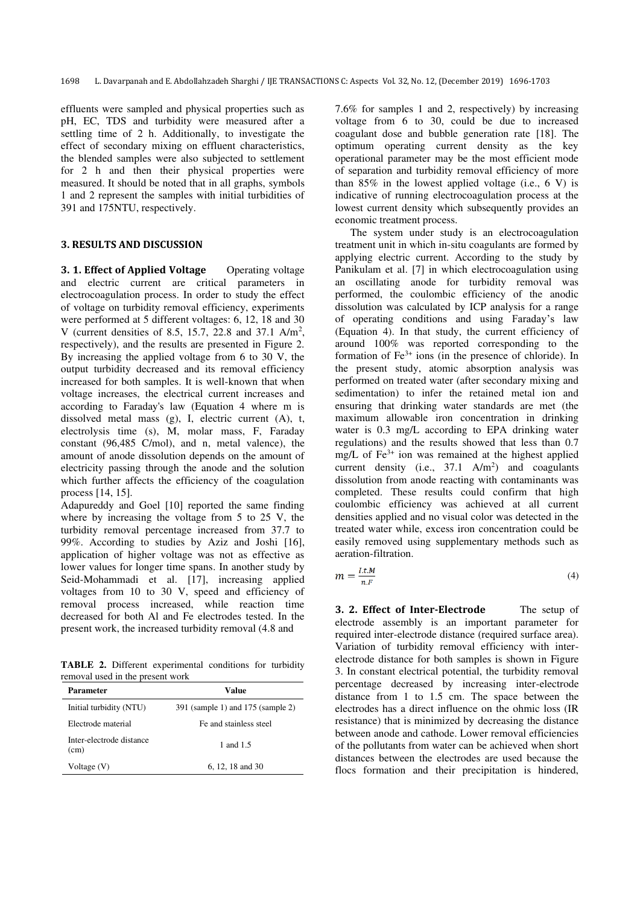effluents were sampled and physical properties such as pH, EC, TDS and turbidity were measured after a settling time of 2 h. Additionally, to investigate the effect of secondary mixing on effluent characteristics, the blended samples were also subjected to settlement for 2 h and then their physical properties were measured. It should be noted that in all graphs, symbols 1 and 2 represent the samples with initial turbidities of 391 and 175NTU, respectively.

## **3. RESULTS AND DISCUSSION**

**3. 1. Effect of Applied Voltage** Operating voltage and electric current are critical parameters in electrocoagulation process. In order to study the effect of voltage on turbidity removal efficiency, experiments were performed at 5 different voltages: 6, 12, 18 and 30 V (current densities of 8.5, 15.7, 22.8 and 37.1  $A/m^2$ , respectively), and the results are presented in Figure 2. By increasing the applied voltage from 6 to 30 V, the output turbidity decreased and its removal efficiency increased for both samples. It is well-known that when voltage increases, the electrical current increases and according to Faraday's law (Equation 4 where m is dissolved metal mass (g), I, electric current (A), t, electrolysis time (s), M, molar mass, F, Faraday constant (96,485 C/mol), and n, metal valence), the amount of anode dissolution depends on the amount of electricity passing through the anode and the solution which further affects the efficiency of the coagulation process [14, 15].

Adapureddy and Goel [10] reported the same finding where by increasing the voltage from 5 to 25 V, the turbidity removal percentage increased from 37.7 to 99%. According to studies by Aziz and Joshi [16], application of higher voltage was not as effective as lower values for longer time spans. In another study by Seid-Mohammadi et al. [17], increasing applied voltages from 10 to 30 V, speed and efficiency of removal process increased, while reaction time decreased for both Al and Fe electrodes tested. In the present work, the increased turbidity removal (4.8 and

**TABLE 2.** Different experimental conditions for turbidity removal used in the present work

| Parameter                        | Value                             |  |  |
|----------------------------------|-----------------------------------|--|--|
| Initial turbidity (NTU)          | 391 (sample 1) and 175 (sample 2) |  |  |
| Electrode material               | Fe and stainless steel            |  |  |
| Inter-electrode distance<br>(cm) | 1 and 1.5                         |  |  |
| Voltage (V)                      | 6, 12, 18 and 30                  |  |  |

7.6% for samples 1 and 2, respectively) by increasing voltage from 6 to 30, could be due to increased coagulant dose and bubble generation rate [18]. The optimum operating current density as the key operational parameter may be the most efficient mode of separation and turbidity removal efficiency of more than  $85\%$  in the lowest applied voltage (i.e., 6 V) is indicative of running electrocoagulation process at the lowest current density which subsequently provides an economic treatment process.

The system under study is an electrocoagulation treatment unit in which in-situ coagulants are formed by applying electric current. According to the study by Panikulam et al. [7] in which electrocoagulation using an oscillating anode for turbidity removal was performed, the coulombic efficiency of the anodic dissolution was calculated by ICP analysis for a range of operating conditions and using Faraday's law (Equation 4). In that study, the current efficiency of around 100% was reported corresponding to the formation of  $Fe<sup>3+</sup>$  ions (in the presence of chloride). In the present study, atomic absorption analysis was performed on treated water (after secondary mixing and sedimentation) to infer the retained metal ion and ensuring that drinking water standards are met (the maximum allowable iron concentration in drinking water is 0.3 mg/L according to EPA drinking water regulations) and the results showed that less than 0.7 mg/L of  $Fe<sup>3+</sup>$  ion was remained at the highest applied current density (i.e.,  $37.1 \text{ A/m}^2$ ) and coagulants dissolution from anode reacting with contaminants was completed. These results could confirm that high coulombic efficiency was achieved at all current densities applied and no visual color was detected in the treated water while, excess iron concentration could be easily removed using supplementary methods such as aeration-filtration.

$$
m = \frac{l \cdot t \cdot M}{n \cdot F} \tag{4}
$$

**3. 2. Effect of Inter-Electrode** The setup of electrode assembly is an important parameter for required inter-electrode distance (required surface area). Variation of turbidity removal efficiency with interelectrode distance for both samples is shown in Figure 3. In constant electrical potential, the turbidity removal percentage decreased by increasing inter-electrode distance from 1 to 1.5 cm. The space between the electrodes has a direct influence on the ohmic loss (IR resistance) that is minimized by decreasing the distance between anode and cathode. Lower removal efficiencies of the pollutants from water can be achieved when short distances between the electrodes are used because the flocs formation and their precipitation is hindered,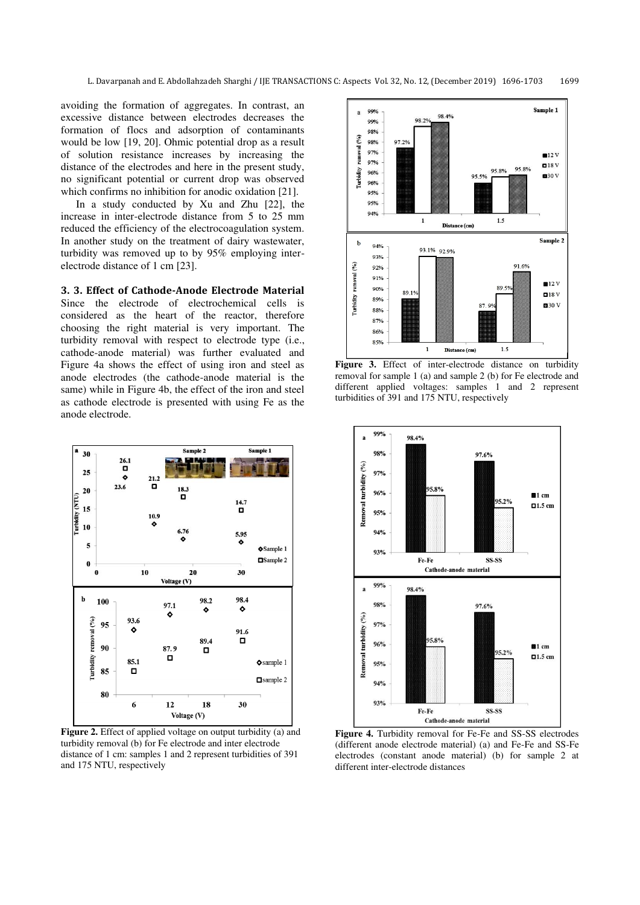avoiding the formation of aggregates. In contrast, an excessive distance between electrodes decreases the formation of flocs and adsorption of contaminants would be low [19, 20]. Ohmic potential drop as a result of solution resistance increases by increasing the distance of the electrodes and here in the present study, no significant potential or current drop was observed which confirms no inhibition for anodic oxidation [21].

In a study conducted by Xu and Zhu [22], the increase in inter-electrode distance from 5 to 25 mm reduced the efficiency of the electrocoagulation system. In another study on the treatment of dairy wastewater, turbidity was removed up to by 95% employing interelectrode distance of 1 cm [23].

## **3. 3. Effect of Cathode-Anode Electrode Material**

Since the electrode of electrochemical cells is considered as the heart of the reactor, therefore choosing the right material is very important. The turbidity removal with respect to electrode type (i.e., cathode-anode material) was further evaluated and Figure 4a shows the effect of using iron and steel as anode electrodes (the cathode-anode material is the same) while in Figure 4b, the effect of the iron and steel as cathode electrode is presented with using Fe as the anode electrode.



**Figure 2.** Effect of applied voltage on output turbidity (a) and turbidity removal (b) for Fe electrode and inter electrode distance of 1 cm: samples 1 and 2 represent turbidities of 391 and 175 NTU, respectively



**Figure 3.** Effect of inter-electrode distance on turbidity removal for sample 1 (a) and sample 2 (b) for Fe electrode and different applied voltages: samples 1 and 2 represent turbidities of 391 and 175 NTU, respectively



**Figure 4.** Turbidity removal for Fe-Fe and SS-SS electrodes (different anode electrode material) (a) and Fe-Fe and SS-Fe electrodes (constant anode material) (b) for sample 2 at different inter-electrode distances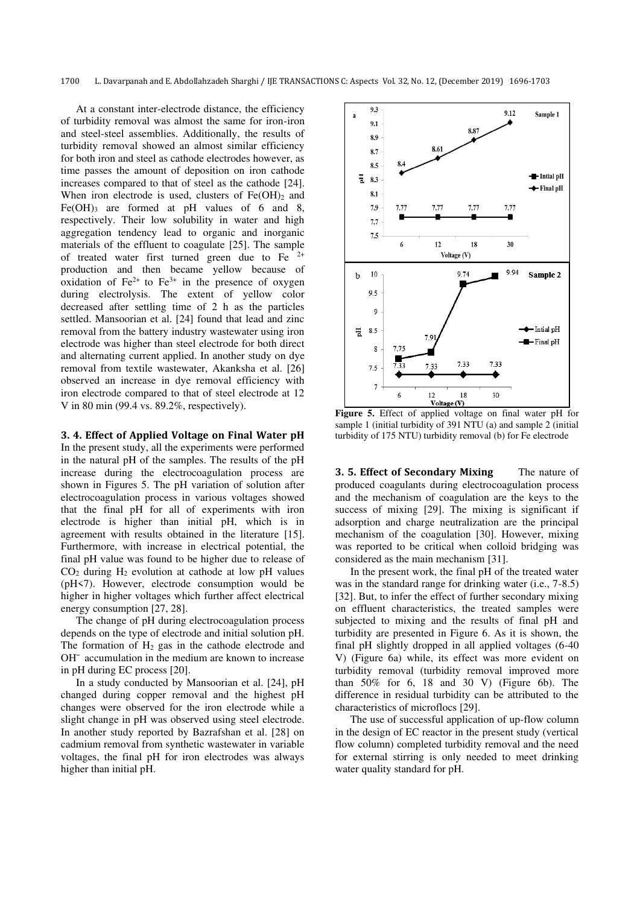1700 L. Davarpanah and E. Abdollahzadeh Sharghi / IJE TRANSACTIONS C: Aspects Vol. 32, No. 12, (December 2019) 1696-1703

At a constant inter-electrode distance, the efficiency of turbidity removal was almost the same for iron-iron and steel-steel assemblies. Additionally, the results of turbidity removal showed an almost similar efficiency for both iron and steel as cathode electrodes however, as time passes the amount of deposition on iron cathode increases compared to that of steel as the cathode [24]. When iron electrode is used, clusters of  $Fe(OH)_2$  and Fe(OH)<sub>3</sub> are formed at pH values of 6 and 8, respectively. Their low solubility in water and high aggregation tendency lead to organic and inorganic materials of the effluent to coagulate [25]. The sample of treated water first turned green due to Fe  $2+$ production and then became yellow because of oxidation of  $Fe^{2+}$  to  $Fe^{3+}$  in the presence of oxygen during electrolysis. The extent of yellow color decreased after settling time of 2 h as the particles settled. Mansoorian et al. [24] found that lead and zinc removal from the battery industry wastewater using iron electrode was higher than steel electrode for both direct and alternating current applied. In another study on dye removal from textile wastewater, Akanksha et al. [26] observed an increase in dye removal efficiency with iron electrode compared to that of steel electrode at 12 V in 80 min (99.4 vs. 89.2%, respectively).

**3. 4. Effect of Applied Voltage on Final Water pH**  In the present study, all the experiments were performed in the natural pH of the samples. The results of the pH increase during the electrocoagulation process are shown in Figures 5. The pH variation of solution after electrocoagulation process in various voltages showed that the final pH for all of experiments with iron electrode is higher than initial pH, which is in agreement with results obtained in the literature [15]. Furthermore, with increase in electrical potential, the final pH value was found to be higher due to release of  $CO<sub>2</sub>$  during H<sub>2</sub> evolution at cathode at low pH values (pH<7). However, electrode consumption would be higher in higher voltages which further affect electrical energy consumption [27, 28].

The change of pH during electrocoagulation process depends on the type of electrode and initial solution pH. The formation of  $H_2$  gas in the cathode electrode and OH¯ accumulation in the medium are known to increase in pH during EC process [20].

In a study conducted by Mansoorian et al. [24], pH changed during copper removal and the highest pH changes were observed for the iron electrode while a slight change in pH was observed using steel electrode. In another study reported by Bazrafshan et al. [28] on cadmium removal from synthetic wastewater in variable voltages, the final pH for iron electrodes was always higher than initial pH.



**Figure 5.** Effect of applied voltage on final water pH for sample 1 (initial turbidity of 391 NTU (a) and sample 2 (initial turbidity of 175 NTU) turbidity removal (b) for Fe electrode

**3. 5. Effect of Secondary Mixing The nature of** produced coagulants during electrocoagulation process and the mechanism of coagulation are the keys to the success of mixing [29]. The mixing is significant if adsorption and charge neutralization are the principal mechanism of the coagulation [30]. However, mixing was reported to be critical when colloid bridging was considered as the main mechanism [31].

In the present work, the final pH of the treated water was in the standard range for drinking water (i.e., 7-8.5) [32]. But, to infer the effect of further secondary mixing on effluent characteristics, the treated samples were subjected to mixing and the results of final pH and turbidity are presented in Figure 6. As it is shown, the final pH slightly dropped in all applied voltages (6-40 V) (Figure 6a) while, its effect was more evident on turbidity removal (turbidity removal improved more than 50% for 6, 18 and 30 V) (Figure 6b). The difference in residual turbidity can be attributed to the characteristics of microflocs [29].

The use of successful application of up-flow column in the design of EC reactor in the present study (vertical flow column) completed turbidity removal and the need for external stirring is only needed to meet drinking water quality standard for pH.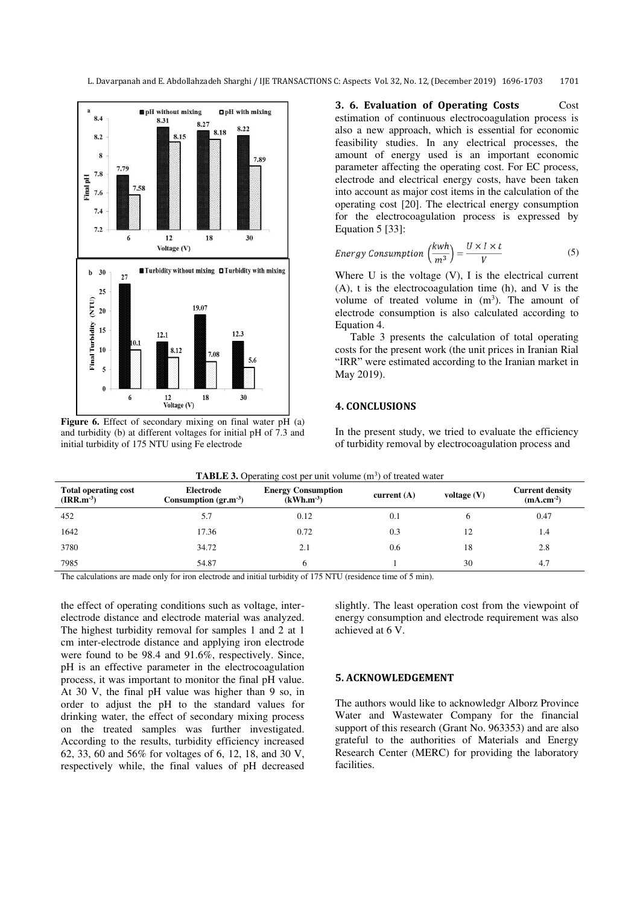L. Davarpanah and E. Abdollahzadeh Sharghi / IJE TRANSACTIONS C: Aspects Vol. 32, No. 12, (December 2019) 1696-1703 1701



**Figure 6.** Effect of secondary mixing on final water pH (a) and turbidity (b) at different voltages for initial pH of 7.3 and initial turbidity of 175 NTU using Fe electrode

**3. 6. Evaluation of Operating Costs** Cost estimation of continuous electrocoagulation process is also a new approach, which is essential for economic feasibility studies. In any electrical processes, the amount of energy used is an important economic parameter affecting the operating cost. For EC process, electrode and electrical energy costs, have been taken into account as major cost items in the calculation of the operating cost [20]. The electrical energy consumption for the electrocoagulation process is expressed by Equation 5 [33]:

Energy Consumption 
$$
\left(\frac{kwh}{m^3}\right) = \frac{U \times I \times t}{V}
$$
 (5)

Where  $U$  is the voltage  $(V)$ , I is the electrical current (A), t is the electrocoagulation time (h), and V is the volume of treated volume in  $(m<sup>3</sup>)$ . The amount of electrode consumption is also calculated according to Equation 4.

Table 3 presents the calculation of total operating costs for the present work (the unit prices in Iranian Rial "IRR" were estimated according to the Iranian market in May 2019).

## **4. CONCLUSIONS**

In the present study, we tried to evaluate the efficiency of turbidity removal by electrocoagulation process and

| <b>Total operating cost</b><br>$\textbf{(IRR.m}^3)$ | Electrode<br>Consumption $(\text{gr.m}^{-3})$ | <b>Energy Consumption</b><br>$(kWh.m^{-3})$ | current $(A)$ | voltage $(V)$ | <b>Current density</b><br>$(mA.cm-2)$ |
|-----------------------------------------------------|-----------------------------------------------|---------------------------------------------|---------------|---------------|---------------------------------------|
| 452                                                 | 5.7                                           | 0.12                                        | 0.1           | o             | 0.47                                  |
| 1642                                                | 17.36                                         | 0.72                                        | 0.3           | 12            | 1.4                                   |
| 3780                                                | 34.72                                         | 2.1                                         | 0.6           | 18            | 2.8                                   |
| 7985                                                | 54.87                                         |                                             |               | 30            | 4.7                                   |

**TABLE 3.** Operating cost per unit volume  $(m^3)$  of treated water

The calculations are made only for iron electrode and initial turbidity of 175 NTU (residence time of 5 min).

the effect of operating conditions such as voltage, interelectrode distance and electrode material was analyzed. The highest turbidity removal for samples 1 and 2 at 1 cm inter-electrode distance and applying iron electrode were found to be 98.4 and 91.6%, respectively. Since, pH is an effective parameter in the electrocoagulation process, it was important to monitor the final pH value. At 30 V, the final pH value was higher than 9 so, in order to adjust the pH to the standard values for drinking water, the effect of secondary mixing process on the treated samples was further investigated. According to the results, turbidity efficiency increased 62, 33, 60 and 56% for voltages of 6, 12, 18, and 30 V, respectively while, the final values of pH decreased

slightly. The least operation cost from the viewpoint of energy consumption and electrode requirement was also achieved at 6 V.

#### **5. ACKNOWLEDGEMENT**

The authors would like to acknowledgr Alborz Province Water and Wastewater Company for the financial support of this research (Grant No. 963353) and are also grateful to the authorities of Materials and Energy Research Center (MERC) for providing the laboratory facilities.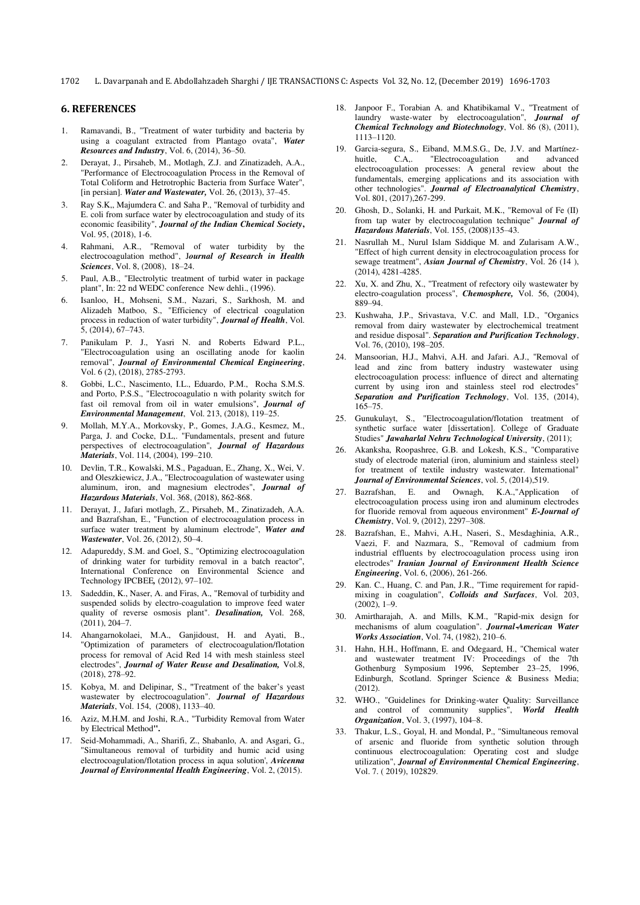#### **6. REFERENCES**

- 1. Ramavandi, B., "Treatment of water turbidity and bacteria by using a coagulant extracted from Plantago ovata", *Water Resources and Industry*, Vol. 6, (2014), 36–50.
- 2. Derayat, J., Pirsaheb, M., Motlagh, Z.J. and Zinatizadeh, A.A., "Performance of Electrocoagulation Process in the Removal of Total Coliform and Hetrotrophic Bacteria from Surface Water", [in persian]. *Water and Wastewater,* Vol. 26, (2013), 37–45.
- 3. Ray S.K,, Majumdera C. and Saha P., "Removal of turbidity and E. coli from surface water by electrocoagulation and study of its economic feasibility", *Journal of the Indian Chemical Society***,** Vol. 95, (2018), 1-6.
- Rahmani, A.R., "Removal of water turbidity by the electrocoagulation method", J*ournal of Research in Health Sciences*, Vol. 8, (2008), 18–24.
- 5. Paul, A.B., "Electrolytic treatment of turbid water in package plant", In: 22 nd WEDC conference New dehli., (1996).
- 6. Isanloo, H., Mohseni, S.M., Nazari, S., Sarkhosh, M. and Alizadeh Matboo, S., "Efficiency of electrical coagulation process in reduction of water turbidity", *Journal of Health*, Vol. 5, (2014), 67–743.
- 7. Panikulam P. J., Yasri N. and Roberts Edward P.L., "Electrocoagulation using an oscillating anode for kaolin removal", *Journal of Environmental Chemical Engineering*, Vol. 6 (2), (2018), 2785-2793.
- 8. Gobbi, L.C., Nascimento, I.L., Eduardo, P.M., Rocha S.M.S. and Porto, P.S.S., "Electrocoagulatio n with polarity switch for fast oil removal from oil in water emulsions", *Journal of Environmental Management*, Vol. 213, (2018), 119–25.
- 9. Mollah, M.Y.A., Morkovsky, P., Gomes, J.A.G., Kesmez, M., Parga, J. and Cocke, D.L,. "Fundamentals, present and future perspectives of electrocoagulation", *Journal of Hazardous Materials*, Vol. 114, (2004), 199–210.
- 10. Devlin, T.R., Kowalski, M.S., Pagaduan, E., Zhang, X., Wei, V. and Oleszkiewicz, J.A., "Electrocoagulation of wastewater using aluminum, iron, and magnesium electrodes", *Journal of Hazardous Materials*, Vol. 368, (2018), 862-868.
- 11. Derayat, J., Jafari motlagh, Z., Pirsaheb, M., Zinatizadeh, A.A. and Bazrafshan, E., "Function of electrocoagulation process in surface water treatment by aluminum electrode", *Water and Wastewater*, Vol. 26, (2012), 50–4.
- 12. Adapureddy, S.M. and Goel, S., "Optimizing electrocoagulation of drinking water for turbidity removal in a batch reactor", International Conference on Environmental Science and Technology IPCBEE*,* (2012), 97–102.
- 13. Sadeddin, K., Naser, A. and Firas, A., "Removal of turbidity and suspended solids by electro-coagulation to improve feed water quality of reverse osmosis plant". *Desalination,* Vol. 268, (2011), 204–7.
- 14. Ahangarnokolaei, M.A., Ganjidoust, H. and Ayati, B., "Optimization of parameters of electrocoagulation/flotation process for removal of Acid Red 14 with mesh stainless steel electrodes", *Journal of Water Reuse and Desalination,* Vol.8, (2018), 278–92.
- 15. Kobya, M. and Delipinar, S., "Treatment of the baker's yeast wastewater by electrocoagulation". *Journal of Hazardous Materials*, Vol. 154, (2008), 1133–40.
- 16. Aziz, M.H.M. and Joshi, R.A., "Turbidity Removal from Water by Electrical Method**".**
- 17. Seid-Mohammadi, A., Sharifi, Z., Shabanlo, A. and Asgari, G., "Simultaneous removal of turbidity and humic acid using electrocoagulation/flotation process in aqua solution', *Avicenna Journal of Environmental Health Engineering*, Vol. 2, (2015).
- 18. Janpoor F., Torabian A. and Khatibikamal V., "Treatment of laundry waste-water by electrocoagulation", *Journal of Chemical Technology and Biotechnology*, Vol. 86 (8), (2011), 1113–1120.
- 19. Garcia-segura, S., Eiband, M.M.S.G., De, J.V. and Martínez-<br>huitle, C.A., "Electrocoagulation and advanced huitle, C.A,. "Electrocoagulation and advanced electrocoagulation processes: A general review about the fundamentals, emerging applications and its association with other technologies". *Journal of Electroanalytical Chemistry*, Vol. 801, (2017),267-299.
- 20. Ghosh, D., Solanki, H. and Purkait, M.K., "Removal of Fe (II) from tap water by electrocoagulation technique" *Journal of Hazardous Materials*, Vol. 155, (2008)135–43.
- 21. Nasrullah M., Nurul Islam Siddique M. and Zularisam A.W., "Effect of high current density in electrocoagulation process for sewage treatment", *Asian Journal of Chemistry*, Vol. 26 (14 ), (2014), 4281-4285.
- 22. Xu, X. and Zhu, X., "Treatment of refectory oily wastewater by electro-coagulation process", *Chemosphere,* Vol. 56, (2004), 889–94.
- 23. Kushwaha, J.P., Srivastava, V.C. and Mall, I.D., "Organics removal from dairy wastewater by electrochemical treatment and residue disposal". *Separation and Purification Technology*, Vol. 76, (2010), 198–205.
- 24. Mansoorian, H.J., Mahvi, A.H. and Jafari. A.J., "Removal of lead and zinc from battery industry wastewater using electrocoagulation process: influence of direct and alternating current by using iron and stainless steel rod electrodes" *Separation and Purification Technology*, Vol. 135, (2014), 165–75.
- 25. Gunukulayt, S., "Electrocoagulation/flotation treatment of synthetic surface water [dissertation]. College of Graduate Studies" *Jawaharlal Nehru Technological University*, (2011);
- 26. Akanksha, Roopashree, G.B. and Lokesh, K.S., "Comparative study of electrode material (iron, aluminium and stainless steel) for treatment of textile industry wastewater. International" *Journal of Environmental Sciences*, vol. 5, (2014),519.
- 27. Bazrafshan, E. and Ownagh, K.A.,"Application of electrocoagulation process using iron and aluminum electrodes for fluoride removal from aqueous environment" *E-Journal of Chemistry*, Vol. 9, (2012), 2297–308.
- 28. Bazrafshan, E., Mahvi, A.H., Naseri, S., Mesdaghinia, A.R., Vaezi, F. and Nazmara, S., "Removal of cadmium from industrial effluents by electrocoagulation process using iron electrodes" *Iranian Journal of Environment Health Science Engineering*, Vol. 6, (2006), 261-266.
- 29. Kan. C., Huang, C. and Pan, J.R., "Time requirement for rapidmixing in coagulation", *Colloids and Surfaces*, Vol. 203, (2002), 1–9.
- 30. Amirtharajah, A. and Mills, K.M., "Rapid‐mix design for mechanisms of alum coagulation". *Journal-American Water Works Association*, Vol. 74, (1982), 210–6.
- 31. Hahn, H.H., Hoffmann, E. and Odegaard, H., "Chemical water and wastewater treatment IV: Proceedings of the 7th Gothenburg Symposium 1996, September 23–25, 1996, Edinburgh, Scotland. Springer Science & Business Media; (2012).
- 32. WHO., "Guidelines for Drinking-water Quality: Surveillance and control of community supplies", *World Health Organization*, Vol. 3, (1997), 104–8.
- 33. Thakur, L.S., Goyal, H. and Mondal, P., "Simultaneous removal of arsenic and fluoride from synthetic solution through continuous electrocoagulation: Operating cost and sludge utilization", *Journal of Environmental Chemical Engineering*, Vol. 7. ( 2019), 102829.